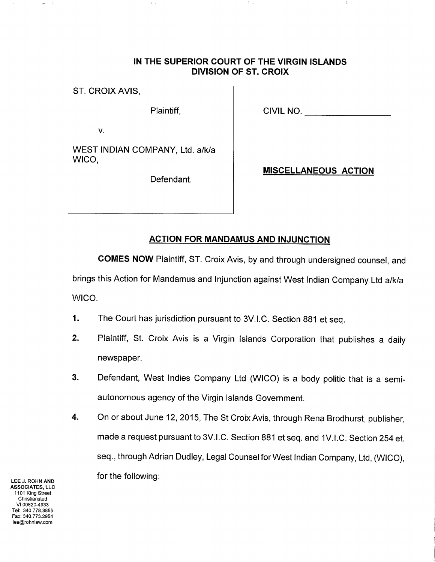## IN THE SUPERIOR COURT OF THE VIRGIN ISLANDS DIVISION OF ST. CROIX

đ.,

ST. CROIX AVIS,

Plaintiff,  $\begin{array}{|c|c|c|c|c|}\n\hline\n\text{Plaintiff,} & & \text{CIVIL NO.} \end{array}$ 

 $\mathcal{V}_{\rm{max}}$ 

V.

WEST INDIAN COMPANY, Ltd. a/k/a WICO,

Defendant.

## MISCELLANEOUS ACTION

## ACTION FOR MANDAMUS AND INJUNCTION

COMES NOW Plaintiff, ST. Croix Avis, by and through undersigned counsel, and

brings this Action for Mandamus and Injunction against West Indian Company Ltd a/k/a WICO.

- 1. The Court has jurisdiction pursuant to 3V.l.C. Section 881 et seq.
- ¿. Plaintiff, St. Croix Avis is a Virgin Islands Corporation that publishes a daily newspaper.
- Defendant, West lndies Company Ltd (WICO) is a body politic that is a semiautonomous agency of the Virgin lslands Government. 3.
- On or about June 12,2015, The St Croix Avis, through Rena Brodhurst, publisher, made a request pursuant to 3V.l.C. Section 881 et seq. and 1V.l.C. Section 254 et. seq., through Adrian Dudley, Legal Counsel for West Indian Company, Ltd, (WICO), for the following: 4.

LEE J. ROHN AND ASSOCIATES, LLC 1101 King Street Christiansted vl 00820-4933 Tel: 340.778.8855 Fax: 340.773.2954 lee@rohnlaw.com